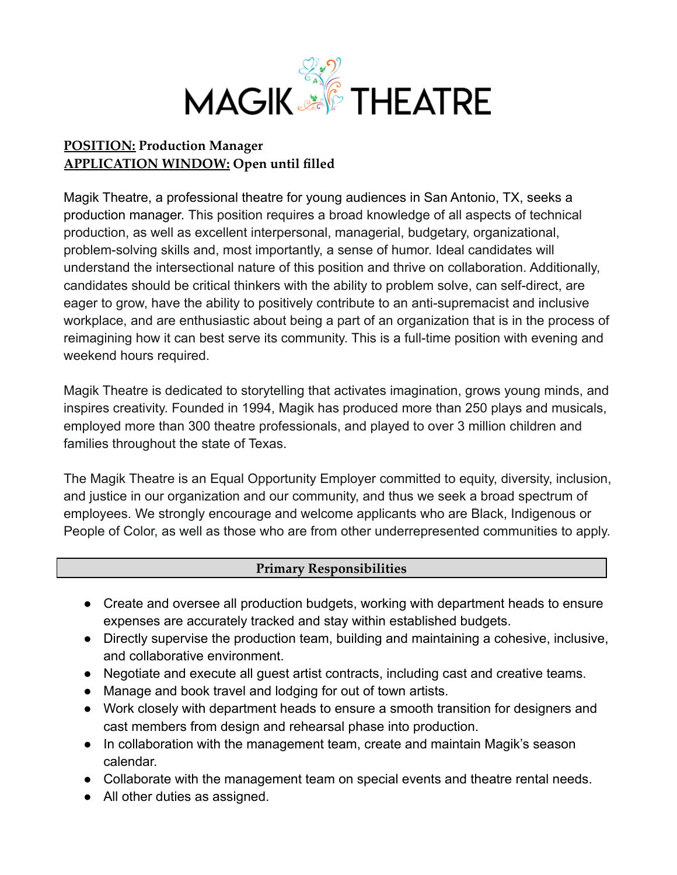

## **POSITION: Production Manager APPLICATION WINDOW: Open until filled**

Magik Theatre, a professional theatre for young audiences in San Antonio, TX, seeks a production manager. This position requires a broad knowledge of all aspects of technical production, as well as excellent interpersonal, managerial, budgetary, organizational, problem-solving skills and, most importantly, a sense of humor. Ideal candidates will understand the intersectional nature of this position and thrive on collaboration. Additionally, candidates should be critical thinkers with the ability to problem solve, can self-direct, are eager to grow, have the ability to positively contribute to an anti-supremacist and inclusive workplace, and are enthusiastic about being a part of an organization that is in the process of reimagining how it can best serve its community. This is a full-time position with evening and weekend hours required.

Magik Theatre is dedicated to storytelling that activates imagination, grows young minds, and inspires creativity. Founded in 1994, Magik has produced more than 250 plays and musicals, employed more than 300 theatre professionals, and played to over 3 million children and families throughout the state of Texas.

The Magik Theatre is an Equal Opportunity Employer committed to equity, diversity, inclusion, and justice in our organization and our community, and thus we seek a broad spectrum of employees. We strongly encourage and welcome applicants who are Black, Indigenous or People of Color, as well as those who are from other underrepresented communities to apply.

## **Primary Responsibilities**

- Create and oversee all production budgets, working with department heads to ensure expenses are accurately tracked and stay within established budgets.
- Directly supervise the production team, building and maintaining a cohesive, inclusive, and collaborative environment.
- Negotiate and execute all guest artist contracts, including cast and creative teams.
- Manage and book travel and lodging for out of town artists.
- Work closely with department heads to ensure a smooth transition for designers and cast members from design and rehearsal phase into production.
- In collaboration with the management team, create and maintain Magik's season calendar.
- Collaborate with the management team on special events and theatre rental needs.
- All other duties as assigned.